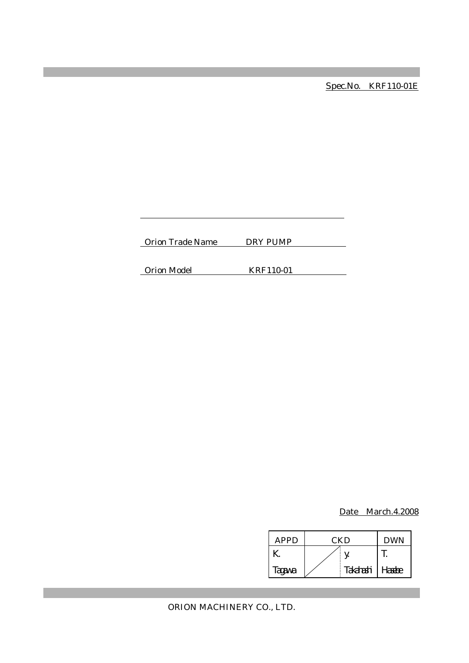Spec.No. KRF110-01E

Orion Trade Name DRY PUMP

Orion Model KRF110-01

Date March.4.2008

| <b>APPD</b> | <b>CKD</b> |           | <b>DWN</b> |
|-------------|------------|-----------|------------|
|             |            |           |            |
| Tagawa      |            | Takahashi | Hasebe     |

ORION MACHINERY CO., LTD.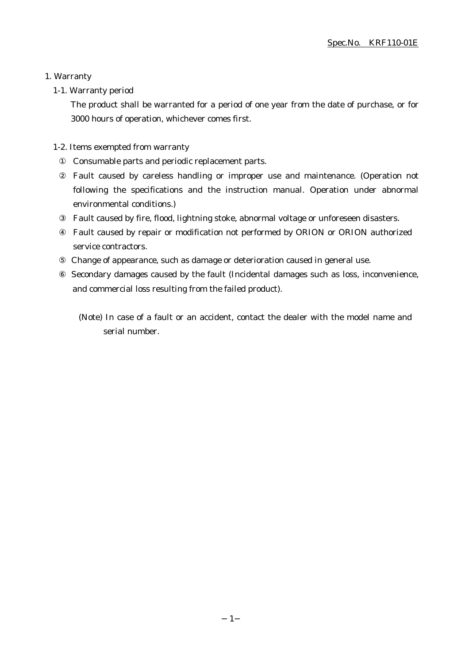## 1. Warranty

## 1-1. Warranty period

The product shall be warranted for a period of one year from the date of purchase, or for 3000 hours of operation, whichever comes first.

## 1-2. Items exempted from warranty

Consumable parts and periodic replacement parts.

Fault caused by careless handling or improper use and maintenance. (Operation not following the specifications and the instruction manual. Operation under abnormal environmental conditions.)

Fault caused by fire, flood, lightning stoke, abnormal voltage or unforeseen disasters.

Fault caused by repair or modification not performed by ORION or ORION authorized service contractors.

Change of appearance, such as damage or deterioration caused in general use.

 Secondary damages caused by the fault (Incidental damages such as loss, inconvenience, and commercial loss resulting from the failed product).

(Note) In case of a fault or an accident, contact the dealer with the model name and serial number.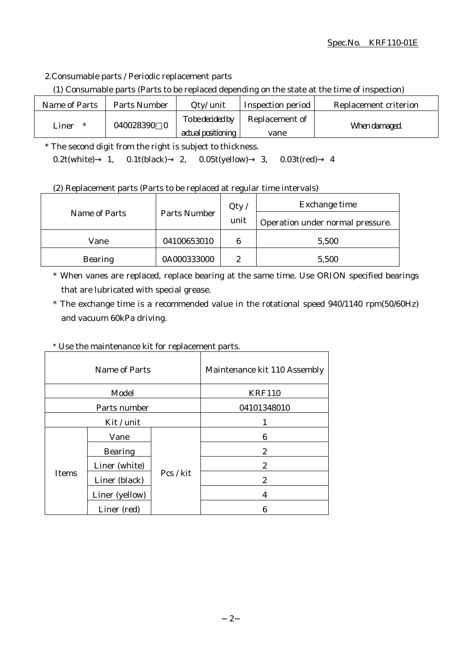## Spec.No. KRF110-01E

2.Consumable parts / Periodic replacement parts

(1) Consumable parts (Parts to be replaced depending on the state at the time of inspection)

| Name of Parts | Parts Number | $Q$ ty/ unit       | Inspection period     | Replacement criterion |
|---------------|--------------|--------------------|-----------------------|-----------------------|
| Liner<br>∗    | 040028390    | To be decided by   | <b>Replacement of</b> | When damaged.         |
|               |              | actual positioning | vane                  |                       |

\* The second digit from the right is subject to thickness. 0.2t(white) 1, 0.1t(black) 2, 0.05t(yellow) 3, 0.03t(red) 4

(2) Replacement parts (Parts to be replaced at regular time intervals)

|                |                     | Qty/ | Exchange time                    |  |
|----------------|---------------------|------|----------------------------------|--|
| Name of Parts  | <b>Parts Number</b> | unit | Operation under normal pressure. |  |
| Vane           | 04100653010         | 6    | 5,500                            |  |
| <b>Bearing</b> | 0A000333000         | 9    | 5,500                            |  |

\* When vanes are replaced, replace bearing at the same time. Use ORION specified bearings that are lubricated with special grease.

\* The exchange time is a recommended value in the rotational speed 940/1140 rpm(50/60Hz) and vacuum 60kPa driving.

# \* Use the maintenance kit for replacement parts.

| Name of Parts |                | Maintenance kit 110 Assembly |              |
|---------------|----------------|------------------------------|--------------|
| Model         |                | <b>KRF110</b>                |              |
| Parts number  |                | 04101348010                  |              |
|               | Kit / unit     |                              |              |
| <b>Items</b>  | Vane           | Pcs / kit                    | 6            |
|               | <b>Bearing</b> |                              | 2            |
|               | Liner (white)  |                              | 2            |
|               | Liner (black)  |                              | $\mathbf{2}$ |
|               | Liner (yellow) |                              | 4            |
|               | Liner (red)    |                              | 6            |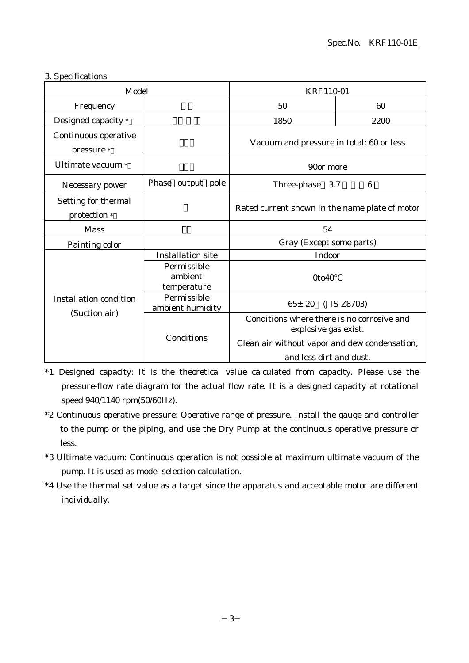## 3. Specifications

|                                                | Model                                 |                                                                    | <b>KRF110-01</b> |
|------------------------------------------------|---------------------------------------|--------------------------------------------------------------------|------------------|
| Frequency                                      |                                       | 50                                                                 | 60               |
| Designed capacity *                            |                                       | 1850                                                               | 2200             |
| Continuous operative<br>pressure *             |                                       | Vacuum and pressure in total: 60 or less                           |                  |
| Ultimate vacuum *                              |                                       | 90or more                                                          |                  |
| Necessary power                                | Phase output pole                     | Three-phase<br>3.7                                                 | $6\phantom{1}6$  |
| Setting for thermal<br>protection *            |                                       | Rated current shown in the name plate of motor                     |                  |
| <b>Mass</b>                                    |                                       | 54                                                                 |                  |
| Painting color                                 |                                       | Gray (Except some parts)                                           |                  |
| <b>Installation condition</b><br>(Suction air) | <b>Installation site</b>              | Indoor                                                             |                  |
|                                                | Permissible<br>ambient<br>temperature | 0to40                                                              |                  |
|                                                | Permissible<br>ambient humidity       | $65 \pm 20$<br>(JIS Z8703)                                         |                  |
|                                                | Conditions                            | Conditions where there is no corrosive and<br>explosive gas exist. |                  |
|                                                |                                       | Clean air without vapor and dew condensation,                      |                  |
|                                                |                                       | and less dirt and dust.                                            |                  |

\*1 Designed capacity: It is the theoretical value calculated from capacity. Please use the pressure-flow rate diagram for the actual flow rate. It is a designed capacity at rotational speed 940/1140 rpm(50/60Hz).

- \*2 Continuous operative pressure: Operative range of pressure. Install the gauge and controller to the pump or the piping, and use the Dry Pump at the continuous operative pressure or less.
- \*3 Ultimate vacuum: Continuous operation is not possible at maximum ultimate vacuum of the pump. It is used as model selection calculation.
- \*4 Use the thermal set value as a target since the apparatus and acceptable motor are different individually.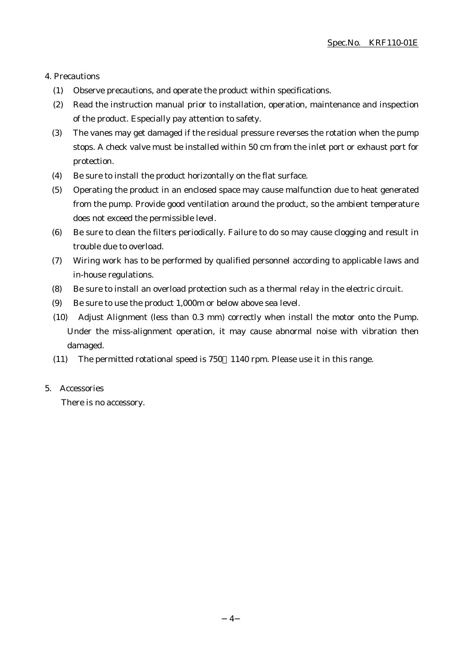#### 4. Precautions

- (1) Observe precautions, and operate the product within specifications.
- (2) Read the instruction manual prior to installation, operation, maintenance and inspection of the product. Especially pay attention to safety.
- (3) The vanes may get damaged if the residual pressure reverses the rotation when the pump stops. A check valve must be installed within 50 cm from the inlet port or exhaust port for protection.
- (4) Be sure to install the product horizontally on the flat surface.
- (5) Operating the product in an enclosed space may cause malfunction due to heat generated from the pump. Provide good ventilation around the product, so the ambient temperature does not exceed the permissible level.
- (6) Be sure to clean the filters periodically. Failure to do so may cause clogging and result in trouble due to overload.
- (7) Wiring work has to be performed by qualified personnel according to applicable laws and in-house regulations.
- (8) Be sure to install an overload protection such as a thermal relay in the electric circuit.
- (9) Be sure to use the product 1,000m or below above sea level.
- (10) Adjust Alignment (less than 0.3 mm) correctly when install the motor onto the Pump. Under the miss-alignment operation, it may cause abnormal noise with vibration then damaged.
- (11) The permitted rotational speed is 750 1140 rpm. Please use it in this range.
- 5. Accessories

There is no accessory.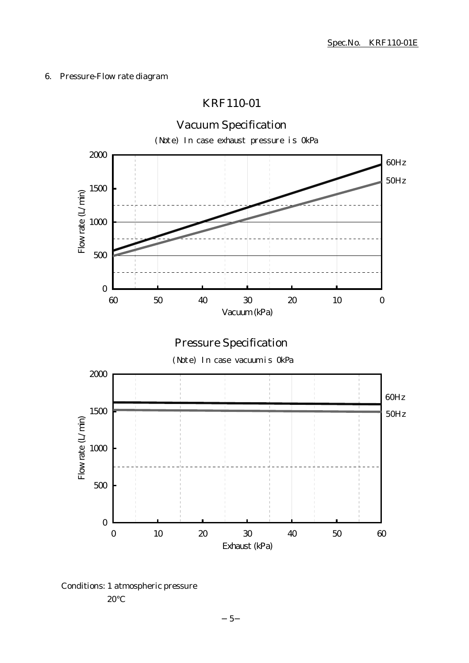## 6. Pressure-Flow rate diagram

# KRF110-01



Conditions: 1 atmospheric pressure